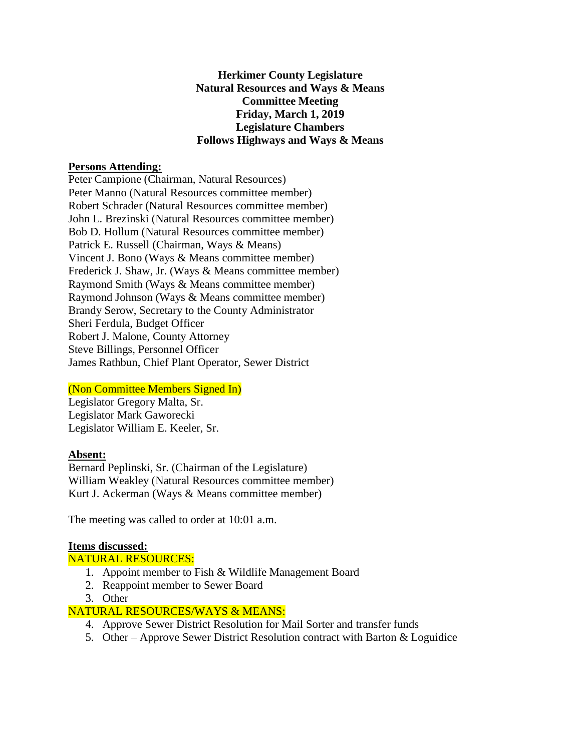**Herkimer County Legislature Natural Resources and Ways & Means Committee Meeting Friday, March 1, 2019 Legislature Chambers Follows Highways and Ways & Means** 

#### **Persons Attending:**

Peter Campione (Chairman, Natural Resources) Peter Manno (Natural Resources committee member) Robert Schrader (Natural Resources committee member) John L. Brezinski (Natural Resources committee member) Bob D. Hollum (Natural Resources committee member) Patrick E. Russell (Chairman, Ways & Means) Vincent J. Bono (Ways & Means committee member) Frederick J. Shaw, Jr. (Ways & Means committee member) Raymond Smith (Ways & Means committee member) Raymond Johnson (Ways & Means committee member) Brandy Serow, Secretary to the County Administrator Sheri Ferdula, Budget Officer Robert J. Malone, County Attorney Steve Billings, Personnel Officer James Rathbun, Chief Plant Operator, Sewer District

### (Non Committee Members Signed In)

Legislator Gregory Malta, Sr. Legislator Mark Gaworecki Legislator William E. Keeler, Sr.

## **Absent:**

Bernard Peplinski, Sr. (Chairman of the Legislature) William Weakley (Natural Resources committee member) Kurt J. Ackerman (Ways & Means committee member)

The meeting was called to order at 10:01 a.m.

### **Items discussed:**

NATURAL RESOURCES:

- 1. Appoint member to Fish & Wildlife Management Board
- 2. Reappoint member to Sewer Board
- 3. Other

## NATURAL RESOURCES/WAYS & MEANS:

- 4. Approve Sewer District Resolution for Mail Sorter and transfer funds
- 5. Other Approve Sewer District Resolution contract with Barton & Loguidice